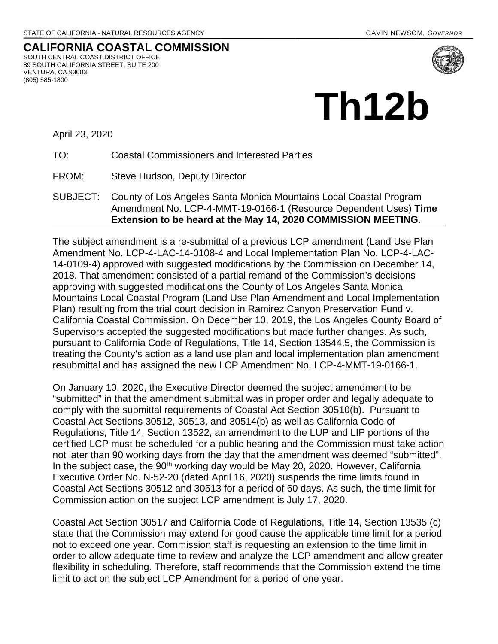#### **CALIFORNIA COASTAL COMMISSION** SOUTH CENTRAL COAST DISTRICT OFFICE 89 SOUTH CALIFORNIA STREET, SUITE 200 VENTURA, CA 93003 (805) 585-1800



April 23, 2020

TO: Coastal Commissioners and Interested Parties

FROM: Steve Hudson, Deputy Director

SUBJECT: County of Los Angeles Santa Monica Mountains Local Coastal Program Amendment No. LCP-4-MMT-19-0166-1 (Resource Dependent Uses) **Time Extension to be heard at the May 14, 2020 COMMISSION MEETING**.

The subject amendment is a re-submittal of a previous LCP amendment (Land Use Plan Amendment No. LCP-4-LAC-14-0108-4 and Local Implementation Plan No. LCP-4-LAC-14-0109-4) approved with suggested modifications by the Commission on December 14, 2018. That amendment consisted of a partial remand of the Commission's decisions approving with suggested modifications the County of Los Angeles Santa Monica Mountains Local Coastal Program (Land Use Plan Amendment and Local Implementation Plan) resulting from the trial court decision in Ramirez Canyon Preservation Fund v. California Coastal Commission. On December 10, 2019, the Los Angeles County Board of Supervisors accepted the suggested modifications but made further changes. As such, pursuant to California Code of Regulations, Title 14, Section 13544.5, the Commission is treating the County's action as a land use plan and local implementation plan amendment resubmittal and has assigned the new LCP Amendment No. LCP-4-MMT-19-0166-1.

On January 10, 2020, the Executive Director deemed the subject amendment to be "submitted" in that the amendment submittal was in proper order and legally adequate to comply with the submittal requirements of Coastal Act Section 30510(b). Pursuant to Coastal Act Sections 30512, 30513, and 30514(b) as well as California Code of Regulations, Title 14, Section 13522, an amendment to the LUP and LIP portions of the certified LCP must be scheduled for a public hearing and the Commission must take action not later than 90 working days from the day that the amendment was deemed "submitted". In the subject case, the  $90<sup>th</sup>$  working day would be May 20, 2020. However, California Executive Order No. N-52-20 (dated April 16, 2020) suspends the time limits found in Coastal Act Sections 30512 and 30513 for a period of 60 days. As such, the time limit for Commission action on the subject LCP amendment is July 17, 2020.

Coastal Act Section 30517 and California Code of Regulations, Title 14, Section 13535 (c) state that the Commission may extend for good cause the applicable time limit for a period not to exceed one year. Commission staff is requesting an extension to the time limit in order to allow adequate time to review and analyze the LCP amendment and allow greater flexibility in scheduling. Therefore, staff recommends that the Commission extend the time limit to act on the subject LCP Amendment for a period of one year.